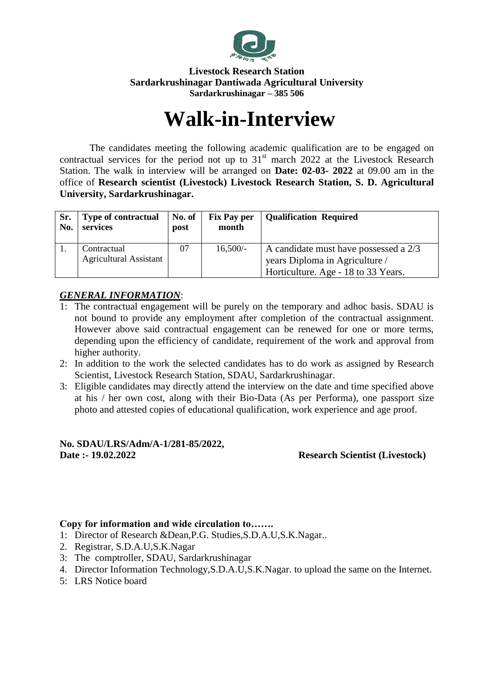

#### **Livestock Research Station Sardarkrushinagar Dantiwada Agricultural University Sardarkrushinagar – 385 506**

# **Walk-in-Interview**

The candidates meeting the following academic qualification are to be engaged on contractual services for the period not up to  $31<sup>st</sup>$  march 2022 at the Livestock Research Station. The walk in interview will be arranged on **Date: 02-03- 2022** at 09.00 am in the office of **Research scientist (Livestock) Livestock Research Station, S. D. Agricultural University, Sardarkrushinagar.**

| Sr.<br>No. | <b>Type of contractual</b><br>services | No. of<br>post | <b>Fix Pay per</b><br>month | <b>Qualification Required</b>         |
|------------|----------------------------------------|----------------|-----------------------------|---------------------------------------|
|            | Contractual                            | 07             | $16,500/-$                  | A candidate must have possessed a 2/3 |
|            | <b>Agricultural Assistant</b>          |                |                             | years Diploma in Agriculture /        |
|            |                                        |                |                             | Horticulture. Age - 18 to 33 Years.   |

## *GENERAL INFORMATION*:

- 1: The contractual engagement will be purely on the temporary and adhoc basis. SDAU is not bound to provide any employment after completion of the contractual assignment. However above said contractual engagement can be renewed for one or more terms, depending upon the efficiency of candidate, requirement of the work and approval from higher authority.
- 2: In addition to the work the selected candidates has to do work as assigned by Research Scientist, Livestock Research Station, SDAU, Sardarkrushinagar.
- 3: Eligible candidates may directly attend the interview on the date and time specified above at his / her own cost, along with their Bio-Data (As per Performa), one passport size photo and attested copies of educational qualification, work experience and age proof.

#### **No. SDAU/LRS/Adm/A-1/281-85/2022, Date :- 19.02.2022 Research Scientist (Livestock)**

## **Copy for information and wide circulation to…….**

- 1: Director of Research &Dean,P.G. Studies,S.D.A.U,S.K.Nagar..
- 2. Registrar, S.D.A.U,S.K.Nagar
- 3: The comptroller, SDAU, Sardarkrushinagar
- 4. Director Information Technology,S.D.A.U,S.K.Nagar. to upload the same on the Internet.
- 5: LRS Notice board